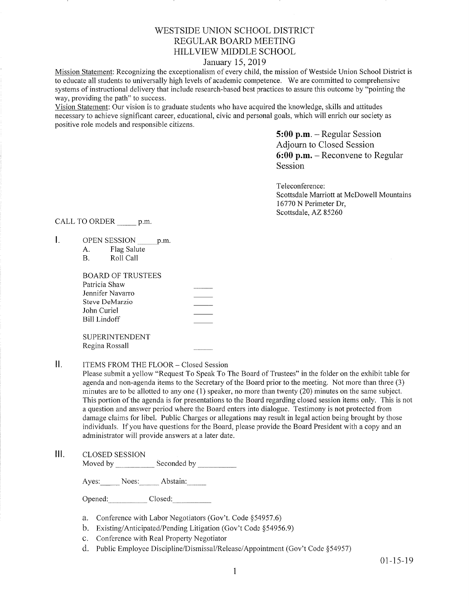# WESTSIDE UNION SCHOOL DISTRICT REGULAR BOARD MEETING HILLVIEW MIDDLE SCHOOL

## January 15,2019

Mission Statement: Recognizing the exceptionalism of every child, the mission of Westside Union School District is to educate all students to universally high levels of academic competence. We are committed to comprehensive systems of instructional delivery that include research-based best practices to assure this outcome by "pointing the way, providing the path" to success.

Vision Statement: Our vision is to graduate students who have acquired the knowledge, skills and attitudes necessary to achieve significant careet, educational, civic and personal goals, which will enrich our society as positive role models and responsible citizens.

> 5:00 p.m. - Regular Session Adjourn to Closed Session 6:00 p.m. - Reconvene to Regular Session

Teleconference: Scottsdale Marriott at McDowell Mountains 16770 N Perimeter Dr, Scottsdale, AZ 85260

CALL TO ORDER \_\_\_\_\_\_\_ p.m.

- $\mathbf{L}$ OPEN SESSION p.m.
	- A. Flag Salute B. Roll Call

Regina Rossall

| BOARD OF TRUSTEES |  |
|-------------------|--|
| Patricia Shaw     |  |
| Jennifer Navarro  |  |
| Steve DeMarzio    |  |
| John Curiel       |  |
| Bill Lindoff      |  |
|                   |  |
| SUPERINTENDENT    |  |

 $\mathbf{II}$ . ITEMS FROM THE FLOOR- Closed Session

Please subrnit a yellow "Request To Speak To The Board of Trustees" in the folder on the exhibit table for agenda and non-agenda items to the Secretary of the Board prior to the meeting. Not more than three (3) minutes are to be allotted to any one (1) speaker, no more than twenty (20) minutes on the same subject. This portion of the agenda is for presentations to the Board regarding closed session items only. This is not a question and answer period where the Board enters into dialogue. Testimony is not protected from damage claims for libel. Public Charges or allegations may result in legal action being brought by those individuals. If you have questions for the Board, please provide the Board President with a copy and an administrator wiil provide answers at a later date.

lll. cLosED sESSroN Moved by \_\_\_\_\_\_\_\_\_\_\_\_\_\_ Seconded by \_\_\_\_\_\_\_\_\_\_\_\_

Ayes: Noes: Abstain:

Opened: Closed:

- a. Conference with Labor Negotiators (Gov't. Code \$54957.6)
- b. Existing/Anticipated/Pending Litigation (Gov't Code \$54956.9)
- c. Conference with Real Property Negotiator
- d. Public Employee Discipline/Dismissal/Release/Appointment (Gov't Code §54957)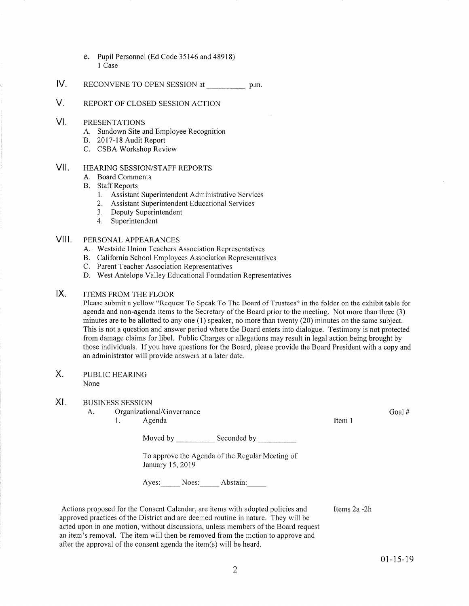- e. Pupil Personnel (Ed Code 35146 and 48918) I Case
- IV RECONVENE TO OPEN SESSION at p.m.
- V. REPORT OF CLOSED SESSION ACTION

#### VI PRESENTATIONS

- A. Sundown Site and Employee Recognition B. 2017-18 Audit Report C. CSBA Workshop Review
- 
- 
- VII. HEARING SESSION/STAFF REPORTS
	- A. Board Comments
	- **B.** Staff Reports
		- 1. Assistant Superintendent Administrative Services
		- 2. Assistant Superintendent Educational Services
		- 3. Deputy Superintendent
		- 4. Superintendent

## Vlll. PERSoNALAPPEARANCES

- A. Westside Union Teachers Association Representatives
- 
- 
- B. California School Employees Association Representatives<br>C. Parent Teacher Association Representatives<br>D. West Antelope Valley Educational Foundation Representatives

#### IX ITEMS FROM THE FLOOR

Please submit a yellow "Request To Speak To The Board of Trustees" in the folder on the exhibit table for agenda and non-agenda items to the Secretary of the Board prior to the meeting. Not more than three (3) minutes are to be allotted to any one (1) speaker, no more than twenty (20) minutes on the same subject. This is not a question and answer period where the Board enters into dialogue. Testimony is not protected from damage claims for libel. Public Charges or allegations may result in legal action being brought by those individuals. If you have questions for the Board, please provide the Board President with a copy and an administrator will provide answers at a later date.

#### X. PUBLIC HEARING None

#### XI BUSINESS SESSION

A. Organizational/Governance 1. Agenda

Moved by \_\_\_\_\_\_\_\_\_\_\_\_\_ Seconded by

To approve the Agenda of the Regular Meeting of January 15,2019

Ayes: Noes: Abstain:

Actions proposed for the Consent Calendar, are items with adopted policies and approved practices of the District and are deemed routine in nature. They will be acted upon in one motion, without discussions, unless members of the Board request an item's removal. The item will then be removed from the motion to approve and after the approval of the consent agenda the item(s) will be heard.

Goal #

Items 2a -2h

Item I

 $01 - 15 - 19$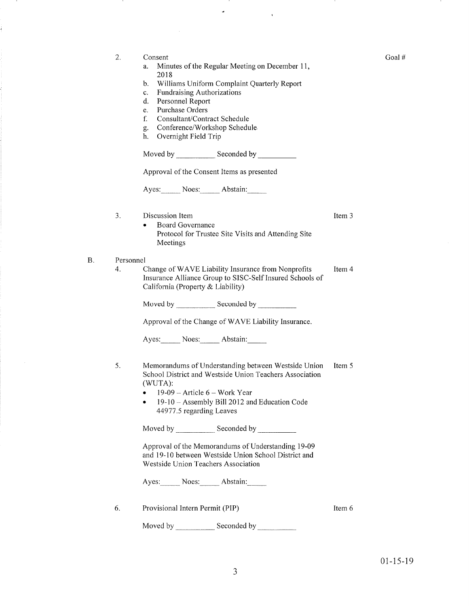|           | Consent                                                                                            |                   |  |  |  |  |  |
|-----------|----------------------------------------------------------------------------------------------------|-------------------|--|--|--|--|--|
| 2.        | Minutes of the Regular Meeting on December 11,<br>a.                                               |                   |  |  |  |  |  |
|           | 2018                                                                                               |                   |  |  |  |  |  |
|           | Williams Uniform Complaint Quarterly Report<br>b.                                                  |                   |  |  |  |  |  |
|           | Fundraising Authorizations<br>c.                                                                   |                   |  |  |  |  |  |
|           | d.<br>Personnel Report<br>Purchase Orders<br>e.                                                    |                   |  |  |  |  |  |
|           | f.<br>Consultant/Contract Schedule                                                                 |                   |  |  |  |  |  |
|           | Conference/Workshop Schedule<br>g.                                                                 |                   |  |  |  |  |  |
|           | h.<br>Overnight Field Trip                                                                         |                   |  |  |  |  |  |
|           | Moved by Seconded by Seconded by                                                                   |                   |  |  |  |  |  |
|           | Approval of the Consent Items as presented                                                         |                   |  |  |  |  |  |
|           | Ayes: Noes: Abstain:                                                                               |                   |  |  |  |  |  |
| 3.        | Discussion Item                                                                                    | Item <sub>3</sub> |  |  |  |  |  |
|           | <b>Board Governance</b><br>٠                                                                       |                   |  |  |  |  |  |
|           | Protocol for Trustee Site Visits and Attending Site<br>Meetings                                    |                   |  |  |  |  |  |
| Personnel |                                                                                                    |                   |  |  |  |  |  |
| 4.        | Change of WAVE Liability Insurance from Nonprofits                                                 | Item 4            |  |  |  |  |  |
|           | Insurance Alliance Group to SISC-Self Insured Schools of<br>California (Property & Liability)      |                   |  |  |  |  |  |
|           | Moved by Seconded by Seconded by                                                                   |                   |  |  |  |  |  |
|           | Approval of the Change of WAVE Liability Insurance.                                                |                   |  |  |  |  |  |
|           | Ayes: Noes: Abstain:                                                                               |                   |  |  |  |  |  |
| 5.        | Memorandums of Understanding between Westside Union                                                | Item 5            |  |  |  |  |  |
|           | School District and Westside Union Teachers Association                                            |                   |  |  |  |  |  |
|           | (WUTA):                                                                                            |                   |  |  |  |  |  |
|           | 19-09 – Article 6 – Work Year<br>٠<br>19-10 - Assembly Bill 2012 and Education Code                |                   |  |  |  |  |  |
|           | 44977.5 regarding Leaves                                                                           |                   |  |  |  |  |  |
|           |                                                                                                    |                   |  |  |  |  |  |
|           | Approval of the Memorandums of Understanding 19-09                                                 |                   |  |  |  |  |  |
|           | and 19-10 between Westside Union School District and<br><b>Westside Union Teachers Association</b> |                   |  |  |  |  |  |
|           | Ayes: Noes: Abstain:                                                                               |                   |  |  |  |  |  |
| 6.        | Provisional Intern Permit (PIP)                                                                    | Item 6            |  |  |  |  |  |
|           | Moved by <b>Moved</b> by<br>Seconded by                                                            |                   |  |  |  |  |  |
|           |                                                                                                    |                   |  |  |  |  |  |

 $\cdot$ 

 $\tilde{\boldsymbol{\theta}}$ 

 $\hat{\mathcal{A}}$ 

 $\frac{1}{\sqrt{2}}\left( \frac{1}{\sqrt{2}}\right) \left( \frac{1}{\sqrt{2}}\right) \left( \frac{1}{\sqrt{2}}\right) \left( \frac{1}{\sqrt{2}}\right) \left( \frac{1}{\sqrt{2}}\right) \left( \frac{1}{\sqrt{2}}\right) \left( \frac{1}{\sqrt{2}}\right) \left( \frac{1}{\sqrt{2}}\right) \left( \frac{1}{\sqrt{2}}\right) \left( \frac{1}{\sqrt{2}}\right) \left( \frac{1}{\sqrt{2}}\right) \left( \frac{1}{\sqrt{2}}\right) \left( \frac{1}{\sqrt{2}}\right) \left$ 

B.

- 11

 $\sim$ 

Ĵ.

Goal #

 $\sim$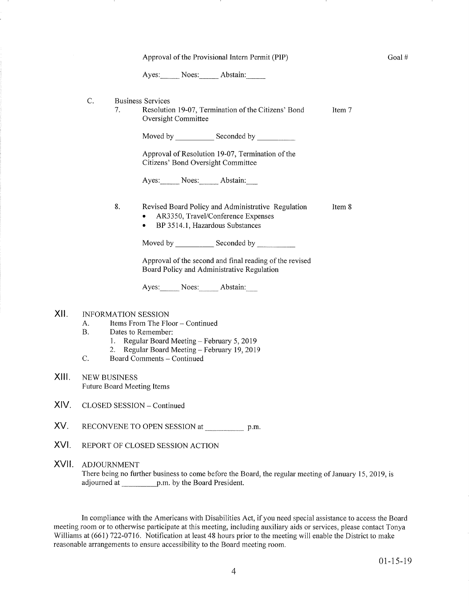|       | Approval of the Provisional Intern Permit (PIP)                                                                                                                                                                                        |    |                          |                     |                                                                                                                                                                                                                      |        |  |  |
|-------|----------------------------------------------------------------------------------------------------------------------------------------------------------------------------------------------------------------------------------------|----|--------------------------|---------------------|----------------------------------------------------------------------------------------------------------------------------------------------------------------------------------------------------------------------|--------|--|--|
|       |                                                                                                                                                                                                                                        |    |                          |                     | Ayes: Noes: Abstain:                                                                                                                                                                                                 |        |  |  |
|       | C.                                                                                                                                                                                                                                     | 7. | <b>Business Services</b> | Oversight Committee | Resolution 19-07, Termination of the Citizens' Bond                                                                                                                                                                  | Item 7 |  |  |
|       |                                                                                                                                                                                                                                        |    |                          |                     |                                                                                                                                                                                                                      |        |  |  |
|       |                                                                                                                                                                                                                                        |    |                          |                     | Approval of Resolution 19-07, Termination of the<br>Citizens' Bond Oversight Committee                                                                                                                               |        |  |  |
|       |                                                                                                                                                                                                                                        |    |                          |                     | Ayes: Noes: Abstain:                                                                                                                                                                                                 |        |  |  |
|       |                                                                                                                                                                                                                                        | 8. |                          |                     | Revised Board Policy and Administrative Regulation<br>AR3350, Travel/Conference Expenses<br>BP 3514.1, Hazardous Substances                                                                                          | Item 8 |  |  |
|       |                                                                                                                                                                                                                                        |    |                          |                     |                                                                                                                                                                                                                      |        |  |  |
|       |                                                                                                                                                                                                                                        |    |                          |                     | Approval of the second and final reading of the revised<br>Board Policy and Administrative Regulation                                                                                                                |        |  |  |
|       |                                                                                                                                                                                                                                        |    |                          |                     | Ayes: Noes: Abstain:                                                                                                                                                                                                 |        |  |  |
| XII.  | <b>INFORMATION SESSION</b><br>Items From The Floor - Continued<br>А.<br>Β.<br>Dates to Remember:<br>1. Regular Board Meeting - February 5, 2019<br>Regular Board Meeting - February 19, 2019<br>2.<br>C.<br>Board Comments - Continued |    |                          |                     |                                                                                                                                                                                                                      |        |  |  |
| XIII. | <b>NEW BUSINESS</b><br><b>Future Board Meeting Items</b>                                                                                                                                                                               |    |                          |                     |                                                                                                                                                                                                                      |        |  |  |
| XIV.  | CLOSED SESSION - Continued                                                                                                                                                                                                             |    |                          |                     |                                                                                                                                                                                                                      |        |  |  |
| XV.   | RECONVENE TO OPEN SESSION at p.m.                                                                                                                                                                                                      |    |                          |                     |                                                                                                                                                                                                                      |        |  |  |
| XVI.  | REPORT OF CLOSED SESSION ACTION                                                                                                                                                                                                        |    |                          |                     |                                                                                                                                                                                                                      |        |  |  |
| XVII. | <b>ADJOURNMENT</b><br>There being no further business to come before the Board, the regular meeting of January 15, 2019, is                                                                                                            |    |                          |                     |                                                                                                                                                                                                                      |        |  |  |
|       |                                                                                                                                                                                                                                        |    |                          |                     | In compliance with the Americans with Disabilities Act, if you need special assistance to access the Board<br>room or to otherwise pertiginate at this meeting, including evylliers aide or services, places contact |        |  |  |

XII.

XIII.

XIV.

XVI.

XVII.

meeting room or to otherwise participate at this meeting, including auxiliary aids or services, please contact Tonya Williams at (661) 722-0716. Notification at least 48 hours prior to the meeting will enable the District to make reasonable arrangements to ensure accessibility to the Board meeting room.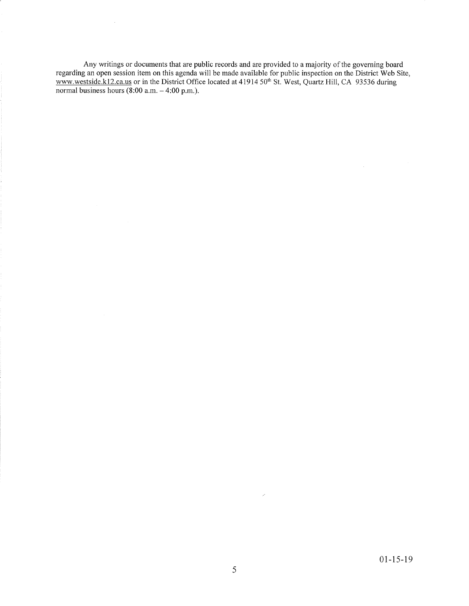Any writings or documents that are public records and are provided to a majority of the governing board regarding an open session item on this agenda will be made available for public inspection on the District Web Site, www.westside.k12.ca.us or in the District Office located at 41914 50<sup>th</sup> St. West, Quartz Hill, CA 93536 during normal business hours (8:00 a.m. – 4:00 p.m.)

 $\sim$ 

 $\overline{\mathscr{S}}$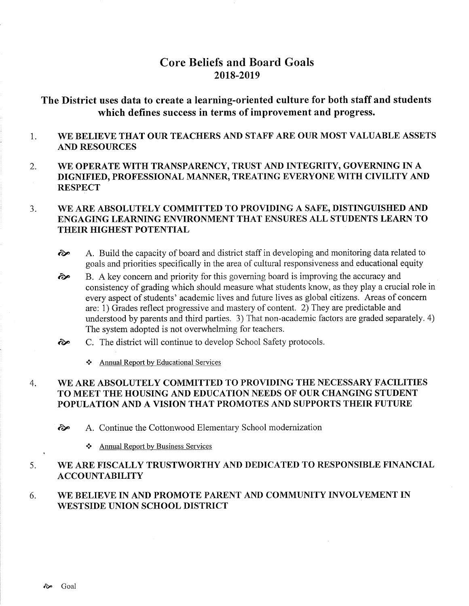# **Core Beliefs and Board Goals** 2018-2019

The District uses data to create a learning-oriented culture for both staff and students which defines success in terms of improvement and progress.

- WE BELIEVE THAT OUR TEACHERS AND STAFF ARE OUR MOST VALUABLE ASSETS 1. A.ND RESOURCES
- 2. WE OPERATE WITH TRANSPARENCY, TRUST AND INTEGRITY, GOVERNING IN A DIGNIFIED, PROFESSIONAL MANNER, TREATING EVERYONE WITH CIVILITY AND **RESPECT**

#### WE ARE ABSOLUTELY COMMITTED TO PROVIDING A SAFE, DISTINGUISHED AND ENGAGING LEARNING ENVIRONMENT THAT ENSURES ALL STUDENTS LEARN TO THEIR HIGHEST POTENTIAL 3.

- $\odot$  A. Build the capacity of board and district staff in developing and monitoring data related to goals and priorities specifically in the area of cultural responsiveness and educational equity
- B. A key concem and priority for this goveming board is improving the accuracy and consistency of grading which should measure what students know, as they play a crucial role in every aspect of students' academic lives and future lives as global citizens. Areas of concern are: i) Grades reflect progressive and mastery of content. 2) They are predictable and understood by parents and third parties. 3) That non-academic factors are graded separately. 4) The system adopted is not overwhelming for teachers. ôp
- C. The district will continue to develop School Safety protocols. èp
	- \* Annual Report by Educational Services

#### WE ARE ABSOLUTELY COMMITTED TO PROVIDING THE NECESSARY FACILITIES TO MEET THE HOUSING AND EDUCATION NEEDS OF OUR CHANGING STUDENT POPULATION AND A VISION THAT PROMOTES AND SUPPORTS THEIR FUTURE 4

èp A. Continue the Cottonwood Elementary School modemization

\* Annual Report by Business Services

#### WE ARE FISCALLY TRUSTWORTHY AND DEDICATED TO RESPONSIBLE FINANCIAL ACCOUNTABILITY 5

#### WE BELIEVE IN AND PROMOTE PARENT AND COMMUNITY INVOLVEMENT IN WESTSIDE UNION SCHOOL DISTRICT 6.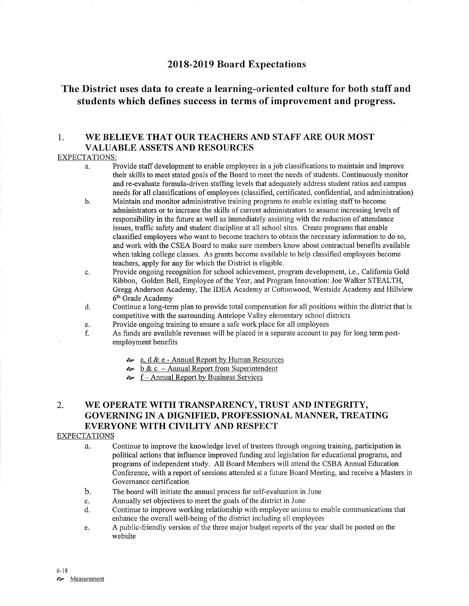## 20L8-20L9 Board Expectations

# The District uses data to create a learning-oriented culture for both staff and students which defines success in terms of improvement and progress.

# 1. WE BELIEVE THAT OUR TEACHERS AND STAFF ARE OUR MOST VALUABLE ASSETS AND RESOURCES

#### EXPECTATIONS:

- a. Provide staff development to enable employees in a job classifications to maintain and improve their skills to meet stated goals of the Board to meet the needs of students. Continuously monitor and re-evaluate formula-driven staflng levels that adequately address student ratios and campus needs for all classifications of employees (classified, ceftificated, confidential, and administration)
- b. Maintain and monitor administrative training programs to enable existing staff to become administrators or to increase the skills of current administrators to assume increasing levels of responsibility in the future as well as immediately assisting with the reduction of attendance issues, traffic safety and student discipline at all school sites. Create programs that enable classified employees who want to become teachers to obtain the necessary information to do so, and work with the CSEA Board to make sure members know about contractual benefits available when taking college classes. As grants become available to help classified employees become teachers, apply for any for which the District is eligible.
- c. Provide ongoing recognition for school achievement, program development, i.e., Califomia Gold Ribbon, Golden Bell, Employee of the Year, and Program Innovation: Joe Walker STEALTH, Gregg Anderson Academy, The IDEA Academy at Cottonwood, Westside Academy and Hillview 6<sup>th</sup> Grade Academy
- d. Continue a long-term plan to provide total compensation for all positions within the district that is competitive with the surrounding Antelope Valley elementary school districts<br>Provide ongoing training to ensure a safe work place for all employees
- 
- e. Provide ongoing training to ensure a safe work place for all employees<br>f. As funds are available revenues will be placed in a separate account to pay for long term post-<br>employment benefits
	- $\approx a$ , d & e Annual Report by Human Resources
	- $\approx$  b & c Annual Report from Superintendent
	- $\sim$  f Annual Report by Business Services

# 2. WE OPERATE WITH TRANSPARENCY, TRUST AND INTEGRITY, GOVERNING IN A DIGNIFIED, PROFESSIONAL MANNER, TREATING EVERYONE WITH CIVILITY AND RESPECT

#### EXPECTATIONS

- a. Continue to improve the knowledge level of trustees through ongoing training, participation in political actions that influence improved funding and legislation for educational programs, and programs of independent study. All Board Members will attend the CSBA Annual Education Conference, with a reporl of sessions attended at a future Board Meeting, and receive a Masters in Governance certification
- The board will initiate the annual process for self-evaluation in June b.
- Annually set objectives to meet the goals of the district in June c.
- Continue to improve working relationship with employee unions to enable communications that enhance the overall well-being of the district including all employees d.
- A public-friendly version of the three major budget reports of the year shall be posted on the website e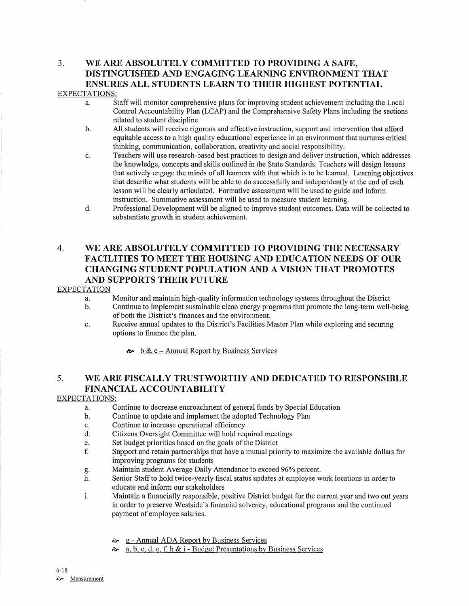# 3. WE ARE ABSOLUTELY COMMITTED TO PROVIDING A SAFE, DISTINGUISHED AND ENGAGING LEARNING ENVIRONMENT THAT ENSURES ALL STUDENTS LEARN TO THEIR HIGHEST POTENTIAL

### EXPECTATIONS:

- a. Staff will monitor comprehensive plans for improving student achievement including the Local Control Accountability Plan (LCAP) and the Comprehensive Safety Plans including the sections
- b. All students will receive rigorous and effective instruction, support and intervention that afford equitable access to a high quality educational experience in an environment that nurtures critical thinking, communication, collaboration, creativity and social responsibility.
- c. Teachers will use research-based best practices to design and deliver instruction, which addresses the knowledge, concepts and skills outlined in the State Standards. Teachers will design lessons that actively engage the minds of all learners with that which is to be learned. Learning objectives that describe what students will be able to do successfully and independently at the end of each lesson will be clearly articulated. Formative assessment will be used to guide and inform instruction. Summative assessment will be used to measure student learning.
- d. Brofessional Development will be aligned to improve student outcomes. Data will be collected to substantiate growth in student achievement.

# 4. WE ARE ABSOLUTELY COMMITTED TO PROVIDING THE NECESSARY FACILITIES TO MEET THE HOUSING AND EDUCATION NEEDS OF OUR CHANGING STUDENT POPULATION AND A VISION THAT PROMOTES AND SUPPORTS THEIR FUTURE

### EXPECTATION

- a. Monitor and maintain high-quality information technology systems throughout the District b. Continue to implement sustainable clean energy programs that promote the long-term well-being
- of both the District's finances and the environment.
- c. Receive annual updates to the District's Facilities Master Plan while exploring and securing options to finance the plan.

 $\approx$  b & c – Annual Report by Business Services

# 5. WE ARE FISCALLY TRUSTWORTHY AND DEDICATED TO RESPONSIBLE FINANCIAL ACCOUNTABILITY

### EXPECTATIONS:

- Continue to decrease encroachment of general funds by Special Education a.
- Continue to update and implement the adopted Technology Plan b.
- Continue to increase operational efficiency c.
- Citizens Oversight Committee will hold required meetings d.
- Set budget priorities based on the goals of the District e.
- Suppott and retain partnerships that have a mutual priority to maximize the available dollars for improving programs for students f.
- Maintain student Average Daily Attendance to exceed 96% percent. oÞ'
- Senior Staff to hold twice-yearly fiscal status updates at employee work locations in order to educate and inform our stakeholders h.
- i. Maintain a financially responsible, positive District budget for the current year and two out years in order to preserve Westside's financial solvency, educational programs and the continued payment of employee salaries.
	- & g Annual ADA Report by Business Services
	- $\approx a, b, c, d, e, f, h \& \text{ i}-Budget \text{ Presentations by Business Services}$